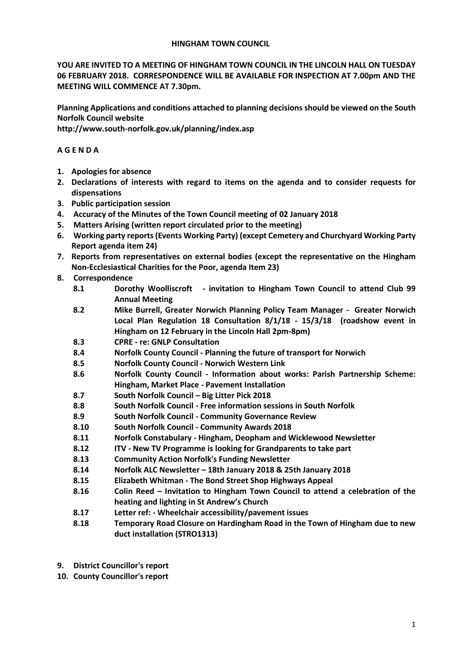### **HINGHAM TOWN COUNCIL**

**YOU ARE INVITED TO A MEETING OF HINGHAM TOWN COUNCIL IN THE LINCOLN HALL ON TUESDAY 06 FEBRUARY 2018. CORRESPONDENCE WILL BE AVAILABLE FOR INSPECTION AT 7.00pm AND THE MEETING WILL COMMENCE AT 7.30pm.** 

**Planning Applications and conditions attached to planning decisions should be viewed on the South Norfolk Council website** 

**http://www.south-norfolk.gov.uk/planning/index.asp**

## **A G E N D A**

- **1. Apologies for absence**
- **2. Declarations of interests with regard to items on the agenda and to consider requests for dispensations**
- **3. Public participation session**
- **4. Accuracy of the Minutes of the Town Council meeting of 02 January 2018**
- **5. Matters Arising (written report circulated prior to the meeting)**
- **6. Working party reports (Events Working Party) (except Cemetery and Churchyard Working Party Report agenda item 24)**
- **7. Reports from representatives on external bodies (except the representative on the Hingham Non-Ecclesiastical Charities for the Poor, agenda Item 23)**
- **8. Correspondence** 
	- **8.1 Dorothy Woolliscroft - invitation to Hingham Town Council to attend Club 99 Annual Meeting**
	- **8.2 Mike Burrell, Greater Norwich Planning Policy Team Manager Greater Norwich Local Plan Regulation 18 Consultation 8/1/18 - 15/3/18 (roadshow event in Hingham on 12 February in the Lincoln Hall 2pm-8pm)**
	- **8.3 CPRE - re: GNLP Consultation**
	- **8.4 Norfolk County Council - Planning the future of transport for Norwich**
	- **8.5 Norfolk County Council - Norwich Western Link**
	- **8.6 Norfolk County Council - Information about works: Parish Partnership Scheme: Hingham, Market Place - Pavement Installation**
	- **8.7 South Norfolk Council – Big Litter Pick 2018**
	- **8.8 South Norfolk Council - Free information sessions in South Norfolk**
	- **8.9 South Norfolk Council - Community Governance Review**
	- **8.10 South Norfolk Council - Community Awards 2018**
	- **8.11 Norfolk Constabulary - Hingham, Deopham and Wicklewood Newsletter**
	- **8.12 ITV - New TV Programme is looking for Grandparents to take part**
	- **8.13 Community Action Norfolk's Funding Newsletter**
	- **8.14 Norfolk ALC Newsletter – 18th January 2018 & 25th January 2018**
	- **8.15 Elizabeth Whitman - The Bond Street Shop Highways Appeal**
	- **8.16 Colin Reed – Invitation to Hingham Town Council to attend a celebration of the heating and lighting in St Andrew's Church**
	- **8.17 Letter ref: - Wheelchair accessibility/pavement issues**
	- **8.18 Temporary Road Closure on Hardingham Road in the Town of Hingham due to new duct installation (STRO1313)**
- **9. District Councillor's report**
- **10. County Councillor's report**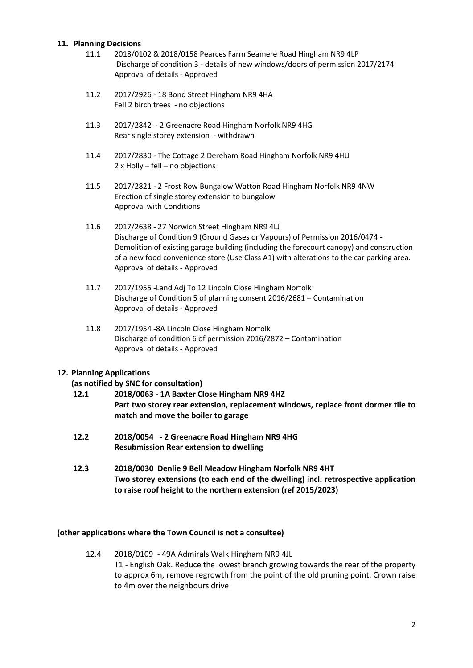## **11. Planning Decisions**

- 11.1 2018/0102 & 2018/0158 Pearces Farm Seamere Road Hingham NR9 4LP Discharge of condition 3 - details of new windows/doors of permission 2017/2174 Approval of details - Approved
- 11.2 2017/2926 18 Bond Street Hingham NR9 4HA Fell 2 birch trees - no objections
- 11.3 2017/2842 2 Greenacre Road Hingham Norfolk NR9 4HG Rear single storey extension - withdrawn
- 11.4 2017/2830 The Cottage 2 Dereham Road Hingham Norfolk NR9 4HU 2 x Holly – fell – no objections
- 11.5 2017/2821 2 Frost Row Bungalow Watton Road Hingham Norfolk NR9 4NW Erection of single storey extension to bungalow Approval with Conditions
- 11.6 2017/2638 27 Norwich Street Hingham NR9 4LJ Discharge of Condition 9 (Ground Gases or Vapours) of Permission 2016/0474 - Demolition of existing garage building (including the forecourt canopy) and construction of a new food convenience store (Use Class A1) with alterations to the car parking area. Approval of details - Approved
- 11.7 2017/1955 -Land Adj To 12 Lincoln Close Hingham Norfolk Discharge of Condition 5 of planning consent 2016/2681 – Contamination Approval of details - Approved
- 11.8 2017/1954 -8A Lincoln Close Hingham Norfolk Discharge of condition 6 of permission 2016/2872 – Contamination Approval of details - Approved

# **12. Planning Applications**

# **(as notified by SNC for consultation)**

- **12.1 2018/0063 - 1A Baxter Close Hingham NR9 4HZ Part two storey rear extension, replacement windows, replace front dormer tile to match and move the boiler to garage**
- **12.2 2018/0054 - 2 Greenacre Road Hingham NR9 4HG Resubmission Rear extension to dwelling**
- **12.3 2018/0030 Denlie 9 Bell Meadow Hingham Norfolk NR9 4HT Two storey extensions (to each end of the dwelling) incl. retrospective application to raise roof height to the northern extension (ref 2015/2023)**

## **(other applications where the Town Council is not a consultee)**

12.4 2018/0109 - 49A Admirals Walk Hingham NR9 4JL T1 - English Oak. Reduce the lowest branch growing towards the rear of the property to approx 6m, remove regrowth from the point of the old pruning point. Crown raise to 4m over the neighbours drive.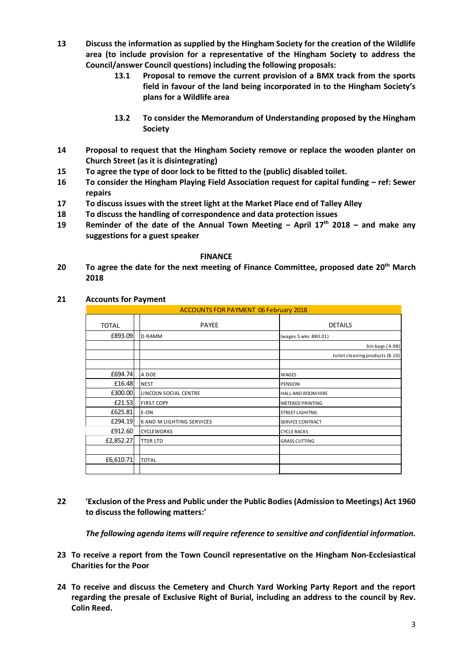- **13 Discuss the information as supplied by the Hingham Society for the creation of the Wildlife area (to include provision for a representative of the Hingham Society to address the Council/answer Council questions) including the following proposals:** 
	- **13.1 Proposal to remove the current provision of a BMX track from the sports field in favour of the land being incorporated in to the Hingham Society's plans for a Wildlife area**
	- **13.2 To consider the Memorandum of Understanding proposed by the Hingham Society**
- **14 Proposal to request that the Hingham Society remove or replace the wooden planter on Church Street (as it is disintegrating)**
- **15 To agree the type of door lock to be fitted to the (public) disabled toilet.**
- **16 To consider the Hingham Playing Field Association request for capital funding – ref: Sewer repairs**
- **17 To discuss issues with the street light at the Market Place end of Talley Alley**
- **18 To discuss the handling of correspondence and data protection issues**
- **19 Reminder of the date of the Annual Town Meeting – April 17th 2018 – and make any suggestions for a guest speaker**

#### **FINANCE**

**20 To agree the date for the next meeting of Finance Committee, proposed date 20th March 2018**

### **21 Accounts for Payment**

| <b>ACCOUNTS FOR PAYMENT 06 February 2018</b> |                           |                                 |
|----------------------------------------------|---------------------------|---------------------------------|
| <b>TOTAL</b>                                 | <b>PAYEE</b>              | <b>DETAILS</b>                  |
| £893.09                                      | <b>D RAMM</b>             | (wages 5 wks 880.01)            |
|                                              |                           | bin bags (4.98)                 |
|                                              |                           | toilet cleaning products (8.10) |
|                                              |                           |                                 |
| £694.74                                      | A DOE                     | <b>WAGES</b>                    |
| £16.48                                       | <b>NEST</b>               | <b>PENSION</b>                  |
| £300.00                                      | LINCOLN SOCIAL CENTRE     | HALL AND ROOM HIRE              |
| £21.53                                       | <b>FIRST COPY</b>         | <b>METERED PRINTING</b>         |
| £625.81                                      | E-ON                      | <b>STREET LIGHITNG</b>          |
| £294.19                                      | K AND M LIGHTING SERVICES | SERVICE CONTRACT                |
| £912.60                                      | <b>CYCLEWORKS</b>         | <b>CYCLE RACKS</b>              |
| £2,852.27                                    | <b>TTSR LTD</b>           | <b>GRASS CUTTING</b>            |
|                                              |                           |                                 |
| £6,610.71                                    | <b>TOTAL</b>              |                                 |
|                                              |                           |                                 |

# **22 'Exclusion of the Press and Public under the Public Bodies (Admission to Meetings) Act 1960 to discuss the following matters:'**

*The following agenda items will require reference to sensitive and confidential information.*

- **23 To receive a report from the Town Council representative on the Hingham Non-Ecclesiastical Charities for the Poor**
- **24 To receive and discuss the Cemetery and Church Yard Working Party Report and the report regarding the presale of Exclusive Right of Burial, including an address to the council by Rev. Colin Reed.**